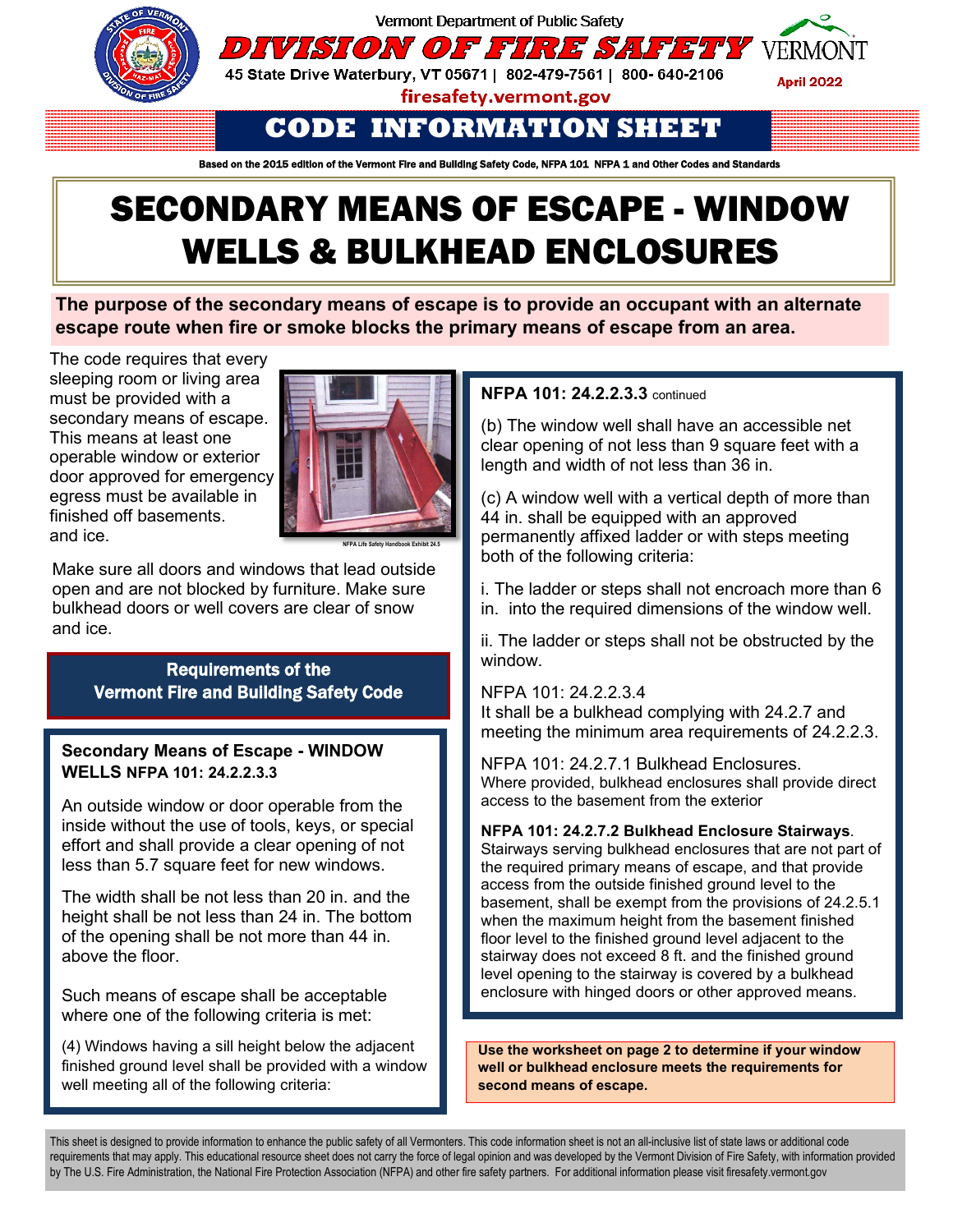



45 State Drive Waterbury, VT 05671 | 802-479-7561 | 800- 640-2106



firesafety.vermont.gov

# **CODE INFORMATION SHEET**

Based on the 2015 edition of the Vermont Fire and Building Safety Code, NFPA 101 NFPA 1 and Other Codes and Standards

# SECONDARY MEANS OF ESCAPE - WINDOW WELLS & BULKHEAD ENCLOSURES

**The purpose of the secondary means of escape is to provide an occupant with an alternate escape route when fire or smoke blocks the primary means of escape from an area.**

The code requires that every sleeping room or living area must be provided with a secondary means of escape. This means at least one operable window or exterior door approved for emergency egress must be available in finished off basements. and ice.



**NFPA Life Safety Handbook Exhibit 24.5**

Make sure all doors and windows that lead outside open and are not blocked by furniture. Make sure bulkhead doors or well covers are clear of snow and ice.

## Requirements of the Vermont Fire and Building Safety Code

#### **Secondary Means of Escape - WINDOW WELLS NFPA 101: 24.2.2.3.3**

An outside window or door operable from the inside without the use of tools, keys, or special effort and shall provide a clear opening of not less than 5.7 square feet for new windows.

The width shall be not less than 20 in. and the height shall be not less than 24 in. The bottom of the opening shall be not more than 44 in. above the floor.

Such means of escape shall be acceptable where one of the following criteria is met:

(4) Windows having a sill height below the adjacent finished ground level shall be provided with a window well meeting all of the following criteria:

### **NFPA 101: 24.2.2.3.3** continued

(b) The window well shall have an accessible net clear opening of not less than 9 square feet with a length and width of not less than 36 in.

(c) A window well with a vertical depth of more than 44 in. shall be equipped with an approved permanently affixed ladder or with steps meeting both of the following criteria:

i. The ladder or steps shall not encroach more than 6 in. into the required dimensions of the window well.

ii. The ladder or steps shall not be obstructed by the window.

NFPA 101: 24.2.2.3.4 It shall be a bulkhead complying with 24.2.7 and meeting the minimum area requirements of 24.2.2.3.

NFPA 101: 24.2.7.1 Bulkhead Enclosures. Where provided, bulkhead enclosures shall provide direct access to the basement from the exterior

#### **NFPA 101: 24.2.7.2 Bulkhead Enclosure Stairways**.

Stairways serving bulkhead enclosures that are not part of the required primary means of escape, and that provide access from the outside finished ground level to the basement, shall be exempt from the provisions of 24.2.5.1 when the maximum height from the basement finished floor level to the finished ground level adjacent to the stairway does not exceed 8 ft. and the finished ground level opening to the stairway is covered by a bulkhead enclosure with hinged doors or other approved means.

**Use the worksheet on page 2 to determine if your window well or bulkhead enclosure meets the requirements for second means of escape.** 

This sheet is designed to provide information to enhance the public safety of all Vermonters. This code information sheet is not an all-inclusive list of state laws or additional code requirements that may apply. This educational resource sheet does not carry the force of legal opinion and was developed by the Vermont Division of Fire Safety, with information provided requirements mat may apply. This educational resource sheet does not carry me force of legal opinion and was developed by the vermont Division of Fire Safety, with inform<br>by The U.S. Fire Administration, the National Fire